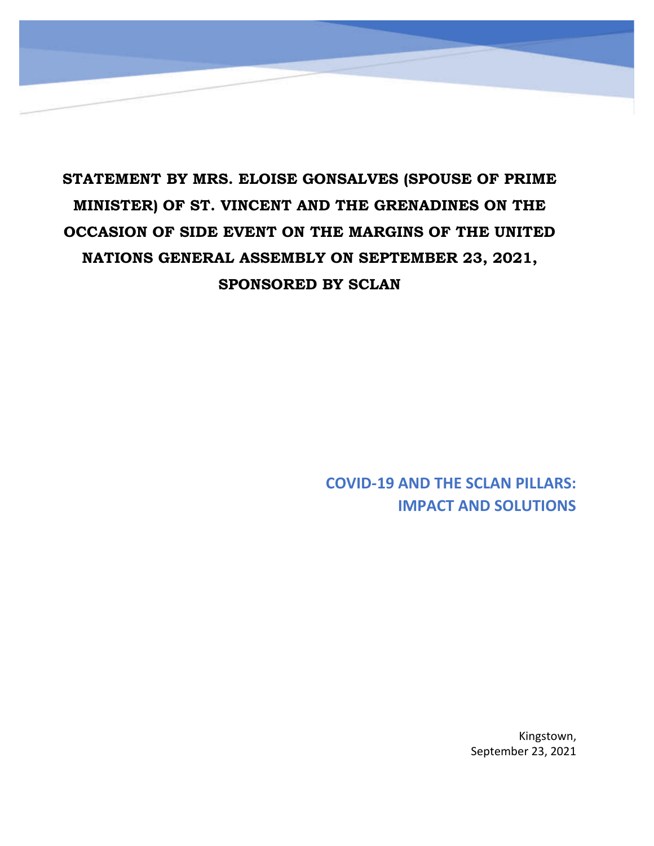## **STATEMENT BY MRS. ELOISE GONSALVES (SPOUSE OF PRIME MINISTER) OF ST. VINCENT AND THE GRENADINES ON THE OCCASION OF SIDE EVENT ON THE MARGINS OF THE UNITED NATIONS GENERAL ASSEMBLY ON SEPTEMBER 23, 2021, SPONSORED BY SCLAN**

**COVID-19 AND THE SCLAN PILLARS: IMPACT AND SOLUTIONS**

> Kingstown, September 23, 2021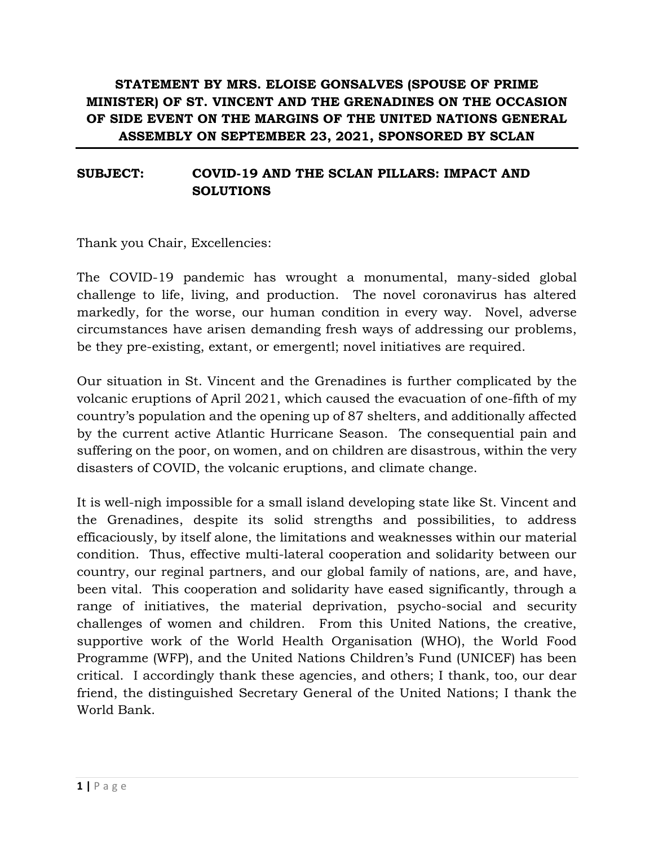## **STATEMENT BY MRS. ELOISE GONSALVES (SPOUSE OF PRIME MINISTER) OF ST. VINCENT AND THE GRENADINES ON THE OCCASION OF SIDE EVENT ON THE MARGINS OF THE UNITED NATIONS GENERAL ASSEMBLY ON SEPTEMBER 23, 2021, SPONSORED BY SCLAN**

## **SUBJECT: COVID-19 AND THE SCLAN PILLARS: IMPACT AND SOLUTIONS**

Thank you Chair, Excellencies:

The COVID-19 pandemic has wrought a monumental, many-sided global challenge to life, living, and production. The novel coronavirus has altered markedly, for the worse, our human condition in every way. Novel, adverse circumstances have arisen demanding fresh ways of addressing our problems, be they pre-existing, extant, or emergentl; novel initiatives are required.

Our situation in St. Vincent and the Grenadines is further complicated by the volcanic eruptions of April 2021, which caused the evacuation of one-fifth of my country's population and the opening up of 87 shelters, and additionally affected by the current active Atlantic Hurricane Season. The consequential pain and suffering on the poor, on women, and on children are disastrous, within the very disasters of COVID, the volcanic eruptions, and climate change.

It is well-nigh impossible for a small island developing state like St. Vincent and the Grenadines, despite its solid strengths and possibilities, to address efficaciously, by itself alone, the limitations and weaknesses within our material condition. Thus, effective multi-lateral cooperation and solidarity between our country, our reginal partners, and our global family of nations, are, and have, been vital. This cooperation and solidarity have eased significantly, through a range of initiatives, the material deprivation, psycho-social and security challenges of women and children. From this United Nations, the creative, supportive work of the World Health Organisation (WHO), the World Food Programme (WFP), and the United Nations Children's Fund (UNICEF) has been critical. I accordingly thank these agencies, and others; I thank, too, our dear friend, the distinguished Secretary General of the United Nations; I thank the World Bank.